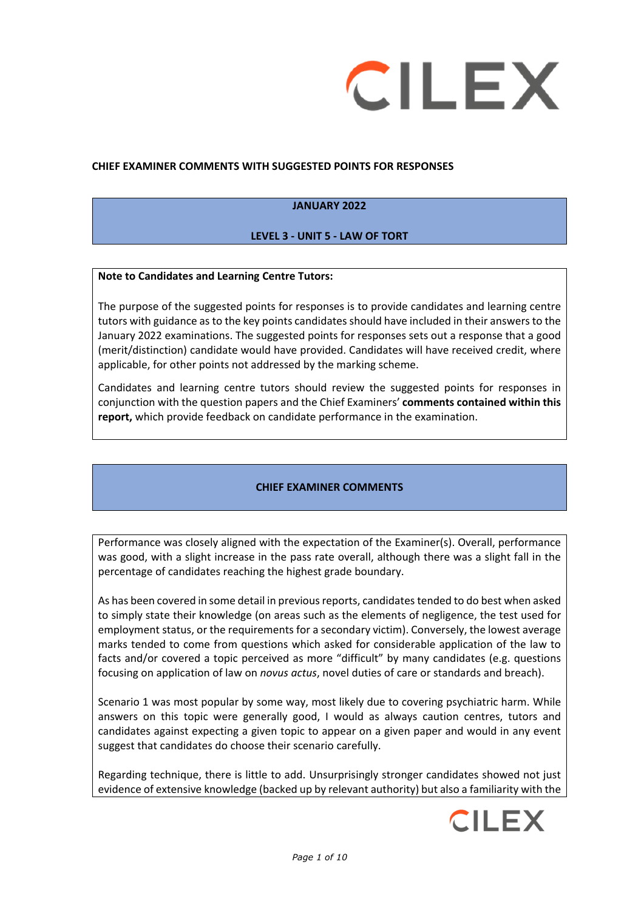

#### **CHIEF EXAMINER COMMENTS WITH SUGGESTED POINTS FOR RESPONSES**

#### **JANUARY 2022**

### **LEVEL 3 - UNIT 5 - LAW OF TORT**

#### **Note to Candidates and Learning Centre Tutors:**

The purpose of the suggested points for responses is to provide candidates and learning centre tutors with guidance as to the key points candidates should have included in their answers to the January 2022 examinations. The suggested points for responses sets out a response that a good (merit/distinction) candidate would have provided. Candidates will have received credit, where applicable, for other points not addressed by the marking scheme.

Candidates and learning centre tutors should review the suggested points for responses in conjunction with the question papers and the Chief Examiners' **comments contained within this report,** which provide feedback on candidate performance in the examination.

### **CHIEF EXAMINER COMMENTS**

Performance was closely aligned with the expectation of the Examiner(s). Overall, performance was good, with a slight increase in the pass rate overall, although there was a slight fall in the percentage of candidates reaching the highest grade boundary.

As has been covered in some detail in previous reports, candidates tended to do best when asked to simply state their knowledge (on areas such as the elements of negligence, the test used for employment status, or the requirements for a secondary victim). Conversely, the lowest average marks tended to come from questions which asked for considerable application of the law to facts and/or covered a topic perceived as more "difficult" by many candidates (e.g. questions focusing on application of law on *novus actus*, novel duties of care or standards and breach).

Scenario 1 was most popular by some way, most likely due to covering psychiatric harm. While answers on this topic were generally good, I would as always caution centres, tutors and candidates against expecting a given topic to appear on a given paper and would in any event suggest that candidates do choose their scenario carefully.

Regarding technique, there is little to add. Unsurprisingly stronger candidates showed not just evidence of extensive knowledge (backed up by relevant authority) but also a familiarity with the

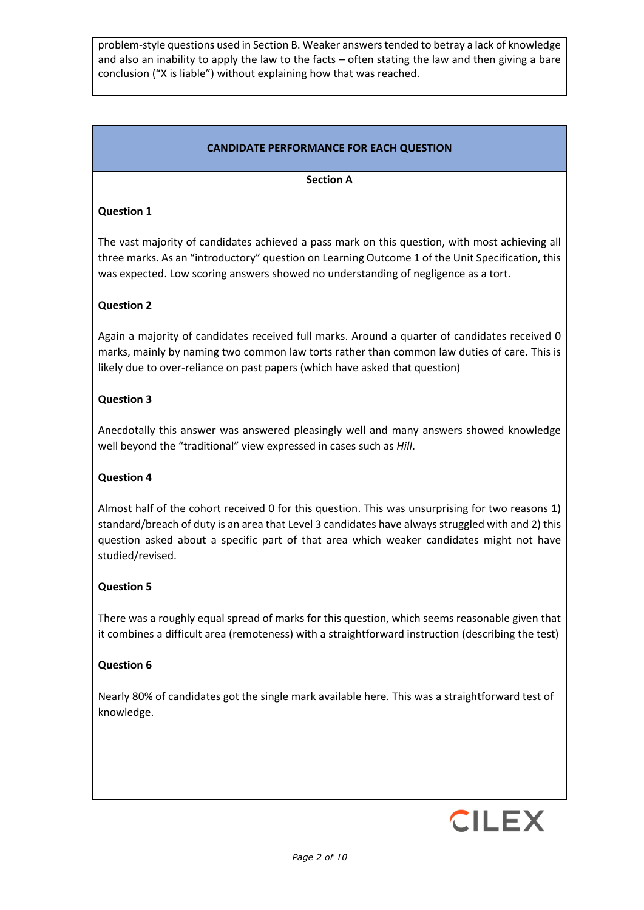problem-style questions used in Section B. Weaker answers tended to betray a lack of knowledge and also an inability to apply the law to the facts – often stating the law and then giving a bare conclusion ("X is liable") without explaining how that was reached.

# **CANDIDATE PERFORMANCE FOR EACH QUESTION**

#### **Section A**

## **Question 1**

The vast majority of candidates achieved a pass mark on this question, with most achieving all three marks. As an "introductory" question on Learning Outcome 1 of the Unit Specification, this was expected. Low scoring answers showed no understanding of negligence as a tort.

## **Question 2**

Again a majority of candidates received full marks. Around a quarter of candidates received 0 marks, mainly by naming two common law torts rather than common law duties of care. This is likely due to over-reliance on past papers (which have asked that question)

## **Question 3**

Anecdotally this answer was answered pleasingly well and many answers showed knowledge well beyond the "traditional" view expressed in cases such as *Hill*.

### **Question 4**

Almost half of the cohort received 0 for this question. This was unsurprising for two reasons 1) standard/breach of duty is an area that Level 3 candidates have always struggled with and 2) this question asked about a specific part of that area which weaker candidates might not have studied/revised.

### **Question 5**

There was a roughly equal spread of marks for this question, which seems reasonable given that it combines a difficult area (remoteness) with a straightforward instruction (describing the test)

### **Question 6**

Nearly 80% of candidates got the single mark available here. This was a straightforward test of knowledge.

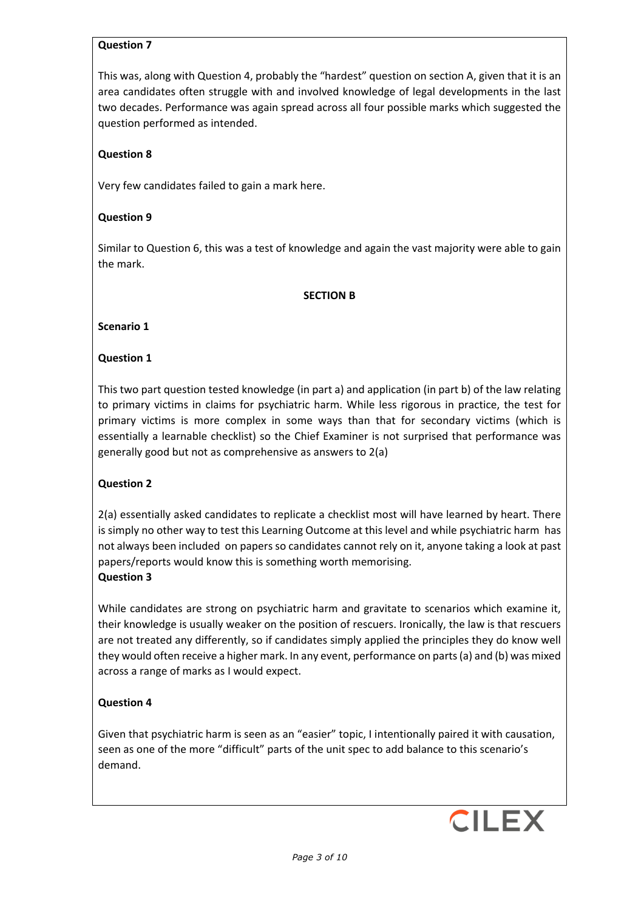### **Question 7**

This was, along with Question 4, probably the "hardest" question on section A, given that it is an area candidates often struggle with and involved knowledge of legal developments in the last two decades. Performance was again spread across all four possible marks which suggested the question performed as intended.

## **Question 8**

Very few candidates failed to gain a mark here.

### **Question 9**

Similar to Question 6, this was a test of knowledge and again the vast majority were able to gain the mark.

#### **SECTION B**

#### **Scenario 1**

### **Question 1**

This two part question tested knowledge (in part a) and application (in part b) of the law relating to primary victims in claims for psychiatric harm. While less rigorous in practice, the test for primary victims is more complex in some ways than that for secondary victims (which is essentially a learnable checklist) so the Chief Examiner is not surprised that performance was generally good but not as comprehensive as answers to 2(a)

### **Question 2**

2(a) essentially asked candidates to replicate a checklist most will have learned by heart. There is simply no other way to test this Learning Outcome at this level and while psychiatric harm has not always been included on papers so candidates cannot rely on it, anyone taking a look at past papers/reports would know this is something worth memorising. **Question 3**

While candidates are strong on psychiatric harm and gravitate to scenarios which examine it, their knowledge is usually weaker on the position of rescuers. Ironically, the law is that rescuers are not treated any differently, so if candidates simply applied the principles they do know well they would often receive a higher mark. In any event, performance on parts (a) and (b) was mixed across a range of marks as I would expect.

### **Question 4**

Given that psychiatric harm is seen as an "easier" topic, I intentionally paired it with causation, seen as one of the more "difficult" parts of the unit spec to add balance to this scenario's demand.

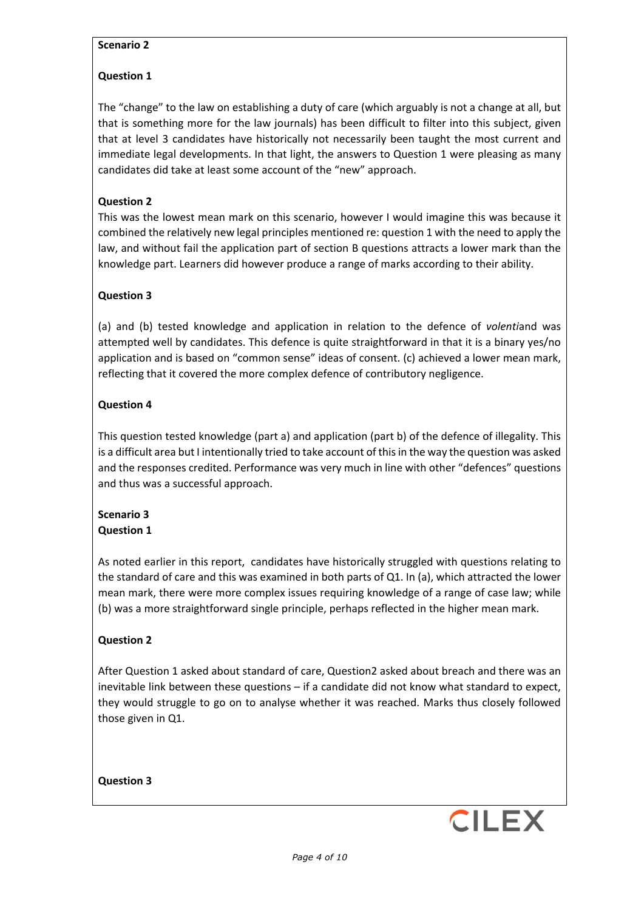### **Scenario 2**

#### **Question 1**

The "change" to the law on establishing a duty of care (which arguably is not a change at all, but that is something more for the law journals) has been difficult to filter into this subject, given that at level 3 candidates have historically not necessarily been taught the most current and immediate legal developments. In that light, the answers to Question 1 were pleasing as many candidates did take at least some account of the "new" approach.

#### **Question 2**

This was the lowest mean mark on this scenario, however I would imagine this was because it combined the relatively new legal principles mentioned re: question 1 with the need to apply the law, and without fail the application part of section B questions attracts a lower mark than the knowledge part. Learners did however produce a range of marks according to their ability.

#### **Question 3**

(a) and (b) tested knowledge and application in relation to the defence of *volenti*and was attempted well by candidates. This defence is quite straightforward in that it is a binary yes/no application and is based on "common sense" ideas of consent. (c) achieved a lower mean mark, reflecting that it covered the more complex defence of contributory negligence.

#### **Question 4**

This question tested knowledge (part a) and application (part b) of the defence of illegality. This is a difficult area but I intentionally tried to take account of this in the way the question was asked and the responses credited. Performance was very much in line with other "defences" questions and thus was a successful approach.

### **Scenario 3 Question 1**

As noted earlier in this report, candidates have historically struggled with questions relating to the standard of care and this was examined in both parts of Q1. In (a), which attracted the lower mean mark, there were more complex issues requiring knowledge of a range of case law; while (b) was a more straightforward single principle, perhaps reflected in the higher mean mark.

#### **Question 2**

After Question 1 asked about standard of care, Question2 asked about breach and there was an inevitable link between these questions – if a candidate did not know what standard to expect, they would struggle to go on to analyse whether it was reached. Marks thus closely followed those given in Q1.

**Question 3**

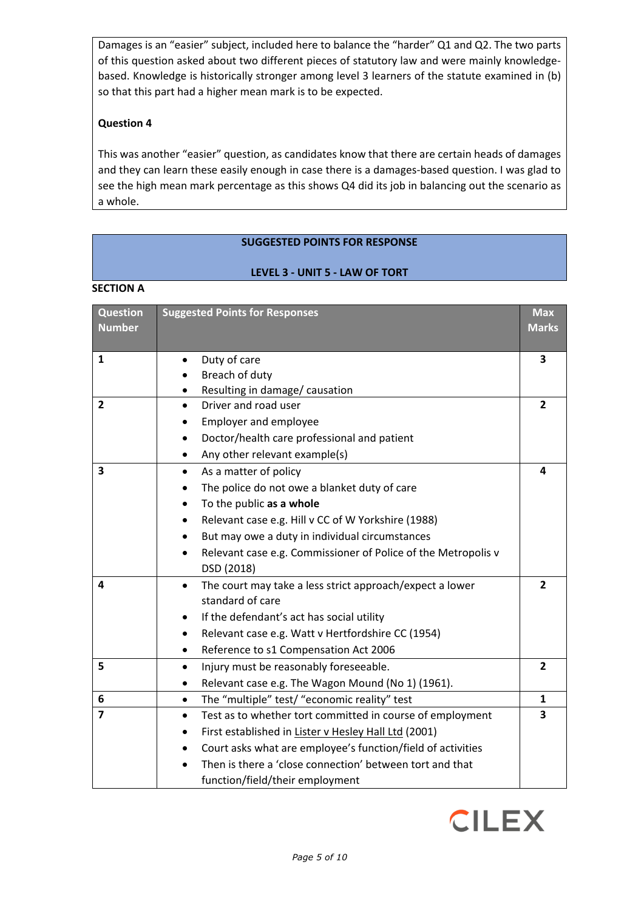Damages is an "easier" subject, included here to balance the "harder" Q1 and Q2. The two parts of this question asked about two different pieces of statutory law and were mainly knowledgebased. Knowledge is historically stronger among level 3 learners of the statute examined in (b) so that this part had a higher mean mark is to be expected.

## **Question 4**

This was another "easier" question, as candidates know that there are certain heads of damages and they can learn these easily enough in case there is a damages-based question. I was glad to see the high mean mark percentage as this shows Q4 did its job in balancing out the scenario as a whole.

## **SUGGESTED POINTS FOR RESPONSE**

#### **LEVEL 3 - UNIT 5 - LAW OF TORT**

#### **SECTION A**

| <b>Question</b><br><b>Number</b> | <b>Suggested Points for Responses</b>                                                     | <b>Max</b><br><b>Marks</b> |
|----------------------------------|-------------------------------------------------------------------------------------------|----------------------------|
| 1                                | Duty of care                                                                              | 3                          |
|                                  | Breach of duty                                                                            |                            |
|                                  | Resulting in damage/ causation                                                            |                            |
| $\overline{2}$                   | Driver and road user<br>$\bullet$                                                         | $\overline{2}$             |
|                                  | <b>Employer and employee</b>                                                              |                            |
|                                  | Doctor/health care professional and patient<br>$\bullet$                                  |                            |
|                                  | Any other relevant example(s)<br>٠                                                        |                            |
| $\overline{\mathbf{3}}$          | As a matter of policy<br>$\bullet$                                                        | 4                          |
|                                  | The police do not owe a blanket duty of care                                              |                            |
|                                  | To the public as a whole                                                                  |                            |
|                                  | Relevant case e.g. Hill v CC of W Yorkshire (1988)<br>$\bullet$                           |                            |
|                                  | But may owe a duty in individual circumstances                                            |                            |
|                                  | Relevant case e.g. Commissioner of Police of the Metropolis v<br>$\bullet$                |                            |
|                                  | DSD (2018)                                                                                |                            |
| 4                                | The court may take a less strict approach/expect a lower<br>$\bullet$<br>standard of care | $\overline{2}$             |
|                                  | If the defendant's act has social utility                                                 |                            |
|                                  |                                                                                           |                            |
|                                  | Relevant case e.g. Watt v Hertfordshire CC (1954)                                         |                            |
|                                  | Reference to s1 Compensation Act 2006<br>٠                                                | $\overline{2}$             |
| 5                                | Injury must be reasonably foreseeable.<br>$\bullet$                                       |                            |
|                                  | Relevant case e.g. The Wagon Mound (No 1) (1961).<br>$\bullet$                            |                            |
| 6                                | The "multiple" test/ "economic reality" test<br>$\bullet$                                 | 1                          |
| $\overline{7}$                   | Test as to whether tort committed in course of employment<br>$\bullet$                    | 3                          |
|                                  | First established in Lister v Hesley Hall Ltd (2001)<br>$\bullet$                         |                            |
|                                  | Court asks what are employee's function/field of activities<br>$\bullet$                  |                            |
|                                  | Then is there a 'close connection' between tort and that                                  |                            |
|                                  | function/field/their employment                                                           |                            |

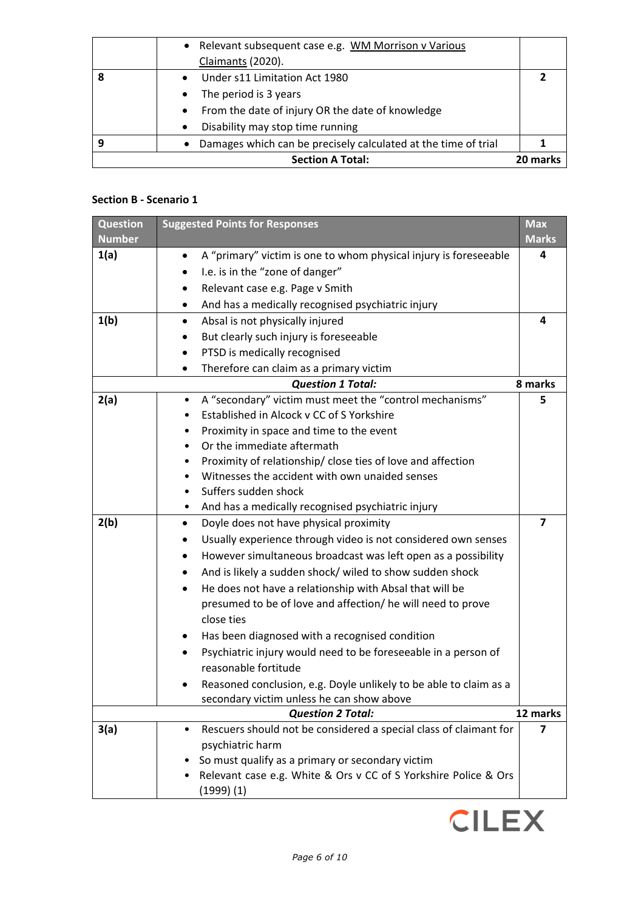| • Relevant subsequent case e.g. WM Morrison v Various          |          |
|----------------------------------------------------------------|----------|
| Claimants (2020).                                              |          |
| Under s11 Limitation Act 1980<br>$\bullet$                     |          |
| The period is 3 years<br>$\bullet$                             |          |
| From the date of injury OR the date of knowledge<br>$\bullet$  |          |
| Disability may stop time running<br>$\bullet$                  |          |
| Damages which can be precisely calculated at the time of trial |          |
| <b>Section A Total:</b>                                        | 20 marks |

## **Section B - Scenario 1**

| <b>Question</b> | <b>Suggested Points for Responses</b>                                         | <b>Max</b>              |
|-----------------|-------------------------------------------------------------------------------|-------------------------|
| <b>Number</b>   |                                                                               | <b>Marks</b>            |
| 1(a)            | A "primary" victim is one to whom physical injury is foreseeable<br>$\bullet$ | 4                       |
|                 | I.e. is in the "zone of danger"                                               |                         |
|                 | Relevant case e.g. Page v Smith                                               |                         |
|                 | And has a medically recognised psychiatric injury<br>٠                        |                         |
| 1(b)            | Absal is not physically injured<br>$\bullet$                                  | 4                       |
|                 | But clearly such injury is foreseeable                                        |                         |
|                 | PTSD is medically recognised<br>٠                                             |                         |
|                 | Therefore can claim as a primary victim                                       |                         |
|                 | <b>Question 1 Total:</b>                                                      | 8 marks                 |
| 2(a)            | A "secondary" victim must meet the "control mechanisms"<br>$\bullet$          | 5                       |
|                 | Established in Alcock v CC of S Yorkshire                                     |                         |
|                 | Proximity in space and time to the event<br>٠                                 |                         |
|                 | Or the immediate aftermath<br>$\bullet$                                       |                         |
|                 | Proximity of relationship/close ties of love and affection<br>٠               |                         |
|                 | Witnesses the accident with own unaided senses<br>$\bullet$                   |                         |
|                 | Suffers sudden shock                                                          |                         |
|                 | And has a medically recognised psychiatric injury<br>٠                        |                         |
| 2(b)            | Doyle does not have physical proximity<br>٠                                   | $\overline{\mathbf{z}}$ |
|                 | Usually experience through video is not considered own senses<br>٠            |                         |
|                 | However simultaneous broadcast was left open as a possibility<br>٠            |                         |
|                 | And is likely a sudden shock/ wiled to show sudden shock                      |                         |
|                 | He does not have a relationship with Absal that will be<br>$\bullet$          |                         |
|                 | presumed to be of love and affection/ he will need to prove                   |                         |
|                 | close ties                                                                    |                         |
|                 | Has been diagnosed with a recognised condition                                |                         |
|                 | Psychiatric injury would need to be foreseeable in a person of                |                         |
|                 | reasonable fortitude                                                          |                         |
|                 | Reasoned conclusion, e.g. Doyle unlikely to be able to claim as a             |                         |
|                 | secondary victim unless he can show above                                     |                         |
|                 | <b>Question 2 Total:</b>                                                      | 12 marks                |
| 3(a)            | Rescuers should not be considered a special class of claimant for             | 7                       |
|                 | psychiatric harm                                                              |                         |
|                 | So must qualify as a primary or secondary victim                              |                         |
|                 | Relevant case e.g. White & Ors v CC of S Yorkshire Police & Ors               |                         |
|                 | (1999)(1)                                                                     |                         |

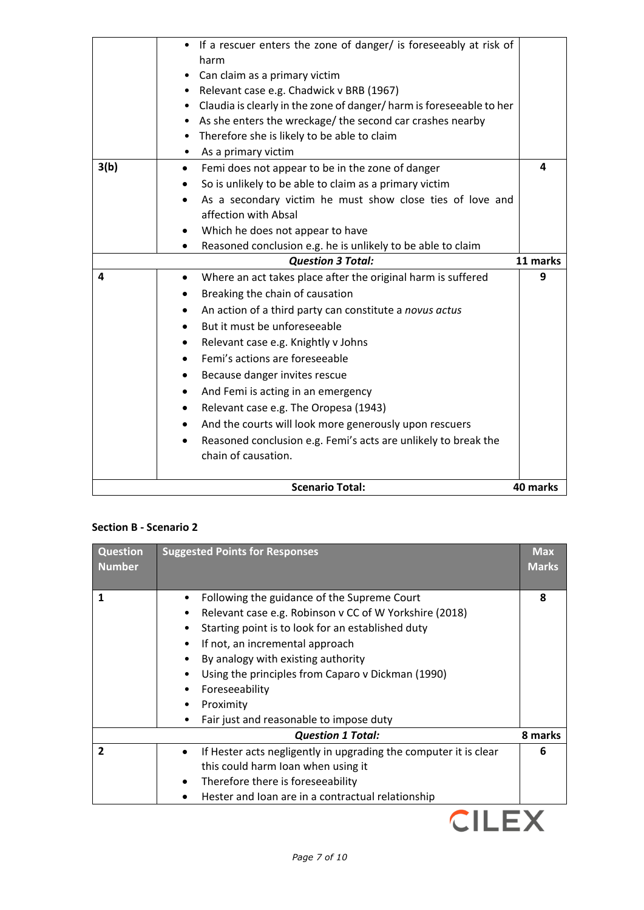|      | <b>Scenario Total:</b>                                                                                | 40 marks      |
|------|-------------------------------------------------------------------------------------------------------|---------------|
|      | chain of causation.                                                                                   |               |
|      | Reasoned conclusion e.g. Femi's acts are unlikely to break the                                        |               |
|      | And the courts will look more generously upon rescuers                                                |               |
|      | Relevant case e.g. The Oropesa (1943)<br>٠                                                            |               |
|      | And Femi is acting in an emergency<br>٠                                                               |               |
|      | Because danger invites rescue                                                                         |               |
|      | Femi's actions are foreseeable                                                                        |               |
|      | Relevant case e.g. Knightly v Johns<br>٠                                                              |               |
|      | But it must be unforeseeable<br>$\bullet$                                                             |               |
|      | An action of a third party can constitute a novus actus                                               |               |
|      | Breaking the chain of causation                                                                       |               |
| 4    | <b>Question 3 Total:</b><br>Where an act takes place after the original harm is suffered<br>$\bullet$ | 11 marks<br>9 |
|      | Reasoned conclusion e.g. he is unlikely to be able to claim                                           |               |
|      | Which he does not appear to have                                                                      |               |
|      | affection with Absal                                                                                  |               |
|      | As a secondary victim he must show close ties of love and                                             |               |
|      | So is unlikely to be able to claim as a primary victim                                                |               |
| 3(b) | Femi does not appear to be in the zone of danger<br>$\bullet$                                         | 4             |
|      | As a primary victim                                                                                   |               |
|      | Therefore she is likely to be able to claim<br>$\bullet$                                              |               |
|      | As she enters the wreckage/ the second car crashes nearby                                             |               |
|      | Claudia is clearly in the zone of danger/harm is foreseeable to her<br>$\bullet$                      |               |
|      | • Relevant case e.g. Chadwick v BRB (1967)                                                            |               |
|      | • Can claim as a primary victim                                                                       |               |
|      | harm                                                                                                  |               |
|      | • If a rescuer enters the zone of danger/ is foreseeably at risk of                                   |               |

# **Section B - Scenario 2**

| <b>Question</b><br><b>Number</b> | <b>Suggested Points for Responses</b>                                                                                                                                                                                                                                                                                                                                                        | <b>Max</b><br><b>Marks</b> |
|----------------------------------|----------------------------------------------------------------------------------------------------------------------------------------------------------------------------------------------------------------------------------------------------------------------------------------------------------------------------------------------------------------------------------------------|----------------------------|
| 1                                | Following the guidance of the Supreme Court<br>Relevant case e.g. Robinson v CC of W Yorkshire (2018)<br>Starting point is to look for an established duty<br>$\bullet$<br>If not, an incremental approach<br>$\bullet$<br>By analogy with existing authority<br>Using the principles from Caparo v Dickman (1990)<br>Foreseeability<br>Proximity<br>Fair just and reasonable to impose duty | 8                          |
|                                  | <b>Question 1 Total:</b>                                                                                                                                                                                                                                                                                                                                                                     | 8 marks                    |
| $\mathbf{z}$                     | If Hester acts negligently in upgrading the computer it is clear<br>this could harm Ioan when using it<br>Therefore there is foreseeability<br>Hester and Ioan are in a contractual relationship                                                                                                                                                                                             |                            |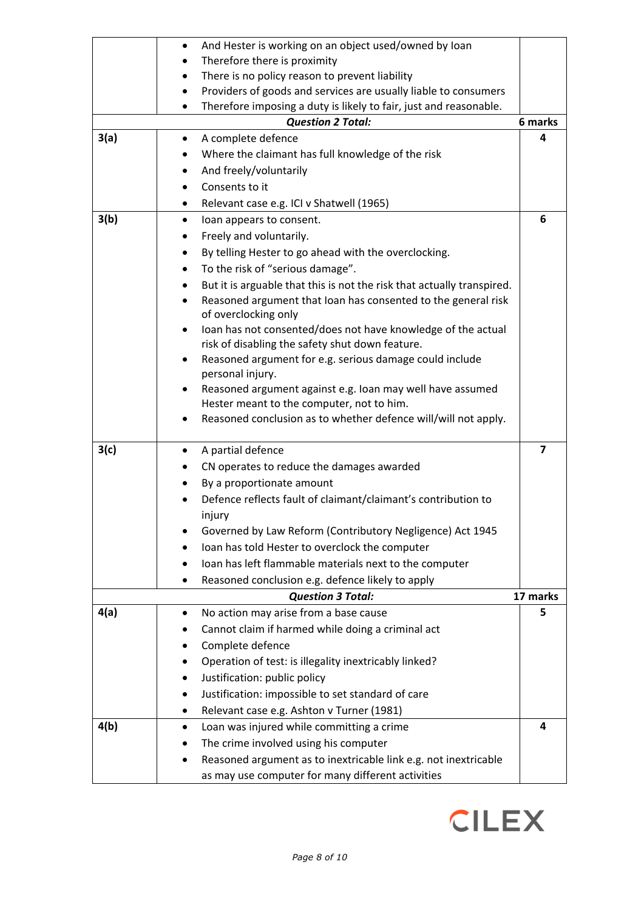|      | And Hester is working on an object used/owned by Ioan<br>$\bullet$                                 |                         |
|------|----------------------------------------------------------------------------------------------------|-------------------------|
|      | Therefore there is proximity                                                                       |                         |
|      | There is no policy reason to prevent liability                                                     |                         |
|      | Providers of goods and services are usually liable to consumers<br>٠                               |                         |
|      | Therefore imposing a duty is likely to fair, just and reasonable.<br>٠                             |                         |
|      | <b>Question 2 Total:</b>                                                                           | 6 marks                 |
| 3(a) | A complete defence                                                                                 | 4                       |
|      | Where the claimant has full knowledge of the risk                                                  |                         |
|      | And freely/voluntarily                                                                             |                         |
|      | Consents to it                                                                                     |                         |
|      | Relevant case e.g. ICI v Shatwell (1965)                                                           |                         |
| 3(b) | loan appears to consent.<br>٠                                                                      | 6                       |
|      | Freely and voluntarily.                                                                            |                         |
|      | By telling Hester to go ahead with the overclocking.                                               |                         |
|      | To the risk of "serious damage".<br>٠                                                              |                         |
|      | But it is arguable that this is not the risk that actually transpired.                             |                         |
|      | Reasoned argument that Ioan has consented to the general risk<br>$\bullet$<br>of overclocking only |                         |
|      | Ioan has not consented/does not have knowledge of the actual<br>٠                                  |                         |
|      | risk of disabling the safety shut down feature.                                                    |                         |
|      | Reasoned argument for e.g. serious damage could include<br>personal injury.                        |                         |
|      | Reasoned argument against e.g. Ioan may well have assumed                                          |                         |
|      | Hester meant to the computer, not to him.                                                          |                         |
|      | Reasoned conclusion as to whether defence will/will not apply.                                     |                         |
| 3(c) |                                                                                                    | $\overline{\mathbf{z}}$ |
|      | A partial defence<br>CN operates to reduce the damages awarded                                     |                         |
|      |                                                                                                    |                         |
|      | By a proportionate amount<br>Defence reflects fault of claimant/claimant's contribution to         |                         |
|      | injury                                                                                             |                         |
|      | Governed by Law Reform (Contributory Negligence) Act 1945                                          |                         |
|      | Ioan has told Hester to overclock the computer                                                     |                         |
|      | Ioan has left flammable materials next to the computer                                             |                         |
|      | Reasoned conclusion e.g. defence likely to apply                                                   |                         |
|      | <b>Question 3 Total:</b>                                                                           | 17 marks                |
| 4(a) | No action may arise from a base cause                                                              | 5                       |
|      | Cannot claim if harmed while doing a criminal act                                                  |                         |
|      | Complete defence                                                                                   |                         |
|      | Operation of test: is illegality inextricably linked?                                              |                         |
|      | Justification: public policy                                                                       |                         |
|      | Justification: impossible to set standard of care                                                  |                         |
|      | Relevant case e.g. Ashton v Turner (1981)<br>٠                                                     |                         |
| 4(b) | Loan was injured while committing a crime                                                          | 4                       |
|      | The crime involved using his computer                                                              |                         |
|      | Reasoned argument as to inextricable link e.g. not inextricable                                    |                         |
|      | as may use computer for many different activities                                                  |                         |
|      |                                                                                                    |                         |

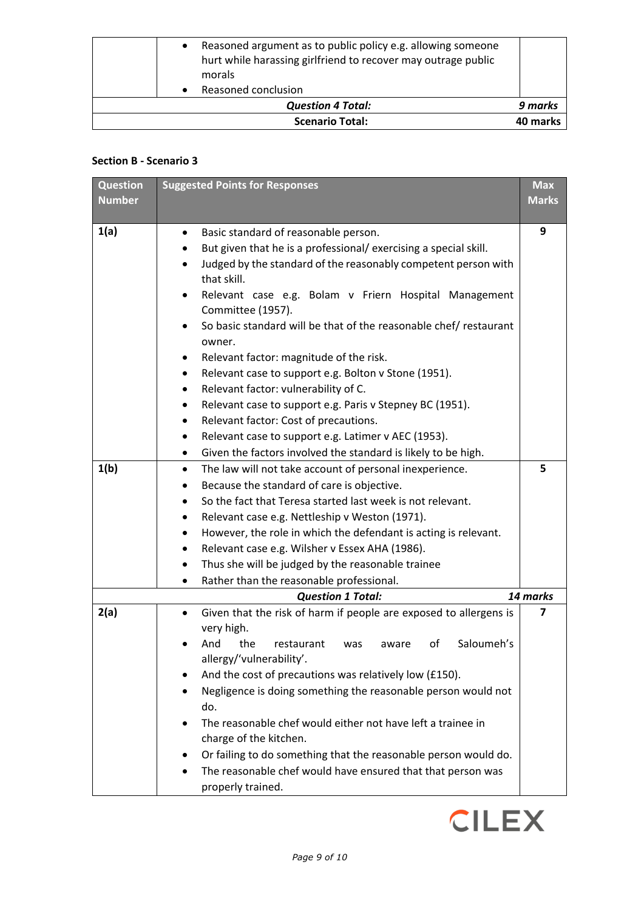| <b>Scenario Total:</b>                                                                                                       | 40 marks |
|------------------------------------------------------------------------------------------------------------------------------|----------|
| <b>Question 4 Total:</b>                                                                                                     | 9 marks  |
| Reasoned conclusion                                                                                                          |          |
| morals                                                                                                                       |          |
| Reasoned argument as to public policy e.g. allowing someone<br>hurt while harassing girlfriend to recover may outrage public |          |

## **Section B - Scenario 3**

| <b>Question</b> | <b>Suggested Points for Responses</b>                                                                                                           | <b>Max</b>   |
|-----------------|-------------------------------------------------------------------------------------------------------------------------------------------------|--------------|
| <b>Number</b>   |                                                                                                                                                 | <b>Marks</b> |
|                 |                                                                                                                                                 |              |
| 1(a)            | Basic standard of reasonable person.<br>$\bullet$                                                                                               | 9            |
|                 | But given that he is a professional/ exercising a special skill.<br>Judged by the standard of the reasonably competent person with<br>$\bullet$ |              |
|                 | that skill.                                                                                                                                     |              |
|                 | Relevant case e.g. Bolam v Friern Hospital Management<br>$\bullet$                                                                              |              |
|                 | Committee (1957).                                                                                                                               |              |
|                 | So basic standard will be that of the reasonable chef/ restaurant                                                                               |              |
|                 | owner.                                                                                                                                          |              |
|                 | Relevant factor: magnitude of the risk.<br>٠                                                                                                    |              |
|                 | Relevant case to support e.g. Bolton v Stone (1951).<br>٠                                                                                       |              |
|                 | Relevant factor: vulnerability of C.<br>٠                                                                                                       |              |
|                 | Relevant case to support e.g. Paris v Stepney BC (1951).<br>٠                                                                                   |              |
|                 | Relevant factor: Cost of precautions.<br>٠                                                                                                      |              |
|                 | Relevant case to support e.g. Latimer v AEC (1953).<br>٠                                                                                        |              |
|                 | Given the factors involved the standard is likely to be high.<br>$\bullet$                                                                      |              |
| 1(b)            | The law will not take account of personal inexperience.<br>$\bullet$                                                                            | 5            |
|                 | Because the standard of care is objective.<br>$\bullet$                                                                                         |              |
|                 | So the fact that Teresa started last week is not relevant.                                                                                      |              |
|                 | Relevant case e.g. Nettleship v Weston (1971).<br>٠                                                                                             |              |
|                 | However, the role in which the defendant is acting is relevant.                                                                                 |              |
|                 | Relevant case e.g. Wilsher v Essex AHA (1986).<br>٠                                                                                             |              |
|                 | Thus she will be judged by the reasonable trainee<br>٠                                                                                          |              |
|                 | Rather than the reasonable professional.<br>$\bullet$<br><b>Question 1 Total:</b>                                                               | 14 marks     |
| 2(a)            | $\bullet$                                                                                                                                       | 7            |
|                 | Given that the risk of harm if people are exposed to allergens is<br>very high.                                                                 |              |
|                 | Saloumeh's<br>the<br>And<br>restaurant<br>οf<br>aware<br>was                                                                                    |              |
|                 | allergy/'vulnerability'.                                                                                                                        |              |
|                 | And the cost of precautions was relatively low (£150).                                                                                          |              |
|                 | Negligence is doing something the reasonable person would not                                                                                   |              |
|                 | do.                                                                                                                                             |              |
|                 | The reasonable chef would either not have left a trainee in                                                                                     |              |
|                 | charge of the kitchen.                                                                                                                          |              |
|                 | Or failing to do something that the reasonable person would do.                                                                                 |              |
|                 | The reasonable chef would have ensured that that person was                                                                                     |              |
|                 | properly trained.                                                                                                                               |              |